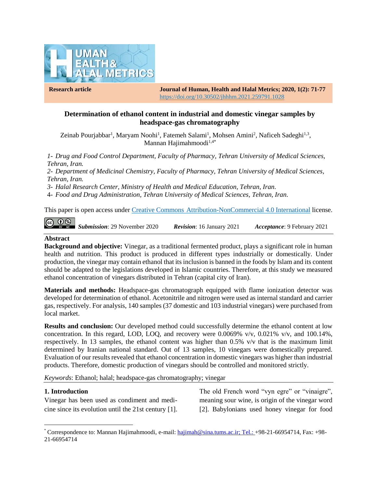

**Research article Journal of Human, Health and Halal Metrics; 2020, 1(2): 71-77** https://doi.org/10.30502/jhhhm.2021.259791.1028

# **Determination of ethanol content in industrial and domestic vinegar samples by headspace-gas chromatography**

Zeinab Pourjabbar<sup>1</sup>, Maryam Noohi<sup>1</sup>, Fatemeh Salami<sup>1</sup>, Mohsen Amini<sup>2</sup>, Naficeh Sadeghi<sup>1,3</sup>, Mannan Hajimahmoodi $1,4$ <sup>\*</sup>

*1- Drug and Food Control Department, Faculty of Pharmacy, Tehran University of Medical Sciences, Tehran, Iran.*

*2- Department of Medicinal Chemistry, Faculty of Pharmacy, Tehran University of Medical Sciences, Tehran, Iran.*

*3- Halal Research Center, Ministry of Health and Medical Education, Tehran, Iran.*

4- *Food and Drug Administration, Tehran University of Medical Sciences, Tehran, Iran.*

This paper is open access under Creative Commons [Attribution-NonCommercial 4.0 International](https://creativecommons.org/licenses/by-nc/4.0/) license.

 $\odot$ *Submission*: 29 November 2020 *Revision*: 16 January 2021 *Acceptance*: 9 February 2021

### **Abstract**

**Background and objective:** Vinegar, as a traditional fermented product, plays a significant role in human health and nutrition. This product is produced in different types industrially or domestically. Under production, the vinegar may contain ethanol that its inclusion is banned in the foods by Islam and its content should be adapted to the legislations developed in Islamic countries. Therefore, at this study we measured ethanol concentration of vinegars distributed in Tehran (capital city of Iran).

**Materials and methods:** Headspace-gas chromatograph equipped with flame ionization detector was developed for determination of ethanol. Acetonitrile and nitrogen were used as internal standard and carrier gas, respectively. For analysis, 140 samples (37 domestic and 103 industrial vinegars) were purchased from local market.

**Results and conclusion:** Our developed method could successfully determine the ethanol content at low concentration. In this regard, LOD, LOQ, and recovery were  $0.0069\%$  v/v,  $0.021\%$  v/v, and  $100.14\%$ , respectively. In 13 samples, the ethanol content was higher than 0.5% v/v that is the maximum limit determined by Iranian national standard. Out of 13 samples, 10 vinegars were domestically prepared. Evaluation of our results revealed that ethanol concentration in domestic vinegars was higher than industrial products. Therefore, domestic production of vinegars should be controlled and monitored strictly.

*Keywords*: Ethanol; halal; headspace-gas chromatography; vinegar

#### **1. Introduction**

l

Vinegar has been used as condiment and medicine since its evolution until the 21st century [1]. The old French word "vyn egre" or "vinaigre", meaning sour wine, is origin of the vinegar word [2]. Babylonians used honey vinegar for food

<sup>\*</sup> Correspondence to: Mannan Hajimahmoodi, e-mail: [hajimah@sina.tums.ac.ir;](mailto:hajimah@sina.tums.ac.ir) Tel.: +98-21-66954714, Fax: +98- 21-66954714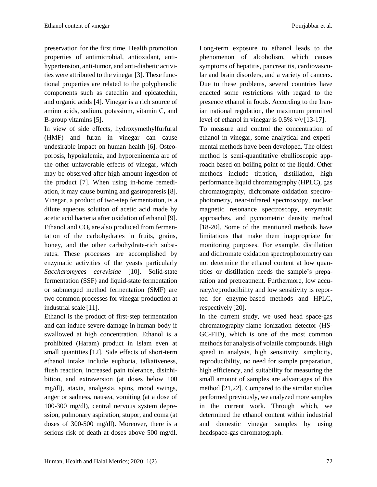preservation for the first time. Health promotion properties of antimicrobial, antioxidant, antihypertension, anti-tumor, and anti-diabetic activities were attributed to the vinegar [3]. These functional properties are related to the polyphenolic components such as catechin and epicatechin, and organic acids [4]. Vinegar is a rich source of amino acids, sodium, potassium, vitamin C, and B-group vitamins [5].

In view of side effects, hydroxymethylfurfural (HMF) and furan in vinegar can cause undesirable impact on human health [6]. Osteoporosis, hypokalemia, and hyporeninemia are of the other unfavorable effects of vinegar, which may be observed after high amount ingestion of the product [7]. When using in-home remediation, it may cause burning and gastroparesis [8]. Vinegar, a product of two-step fermentation, is a dilute aqueous solution of acetic acid made by acetic acid bacteria after oxidation of ethanol [9]. Ethanol and  $CO<sub>2</sub>$  are also produced from fermentation of the carbohydrates in fruits, grains, honey, and the other carbohydrate-rich substrates. These processes are accomplished by enzymatic activities of the yeasts particularly *Saccharomyces cerevisiae* [10]. Solid-state fermentation (SSF) and liquid-state fermentation or submerged method fermentation (SMF) are two common processes for vinegar production at industrial scale [11].

Ethanol is the product of first-step fermentation and can induce severe damage in human body if swallowed at high concentration. Ethanol is a prohibited (Haram) product in Islam even at small quantities [12]. Side effects of short-term ethanol intake include euphoria, talkativeness, flush reaction, increased pain tolerance, disinhibition, and extraversion (at doses below 100 mg/dl), ataxia, analgesia, spins, mood swings, anger or sadness, nausea, vomiting (at a dose of 100-300 mg/dl), central nervous system depression, pulmonary aspiration, stupor, and coma (at doses of 300-500 mg/dl). Moreover, there is a serious risk of death at doses above 500 mg/dl.

Long-term exposure to ethanol leads to the phenomenon of alcoholism, which causes symptoms of hepatitis, pancreatitis, cardiovascular and brain disorders, and a variety of cancers. Due to these problems, several countries have enacted some restrictions with regard to the presence ethanol in foods. According to the Iranian national regulation, the maximum permitted level of ethanol in vinegar is 0.5% v/v [13-17].

To measure and control the concentration of ethanol in vinegar, some analytical and experimental methods have been developed. The oldest method is semi-quantitative ebullioscopic approach based on boiling point of the liquid. Other methods include titration, distillation, high performance liquid chromatography (HPLC), gas chromatography, dichromate oxidation spectrophotometry, near-infrared spectroscopy, nuclear magnetic resonance spectroscopy, enzymatic approaches, and pycnometric density method [18-20]. Some of the mentioned methods have limitations that make them inappropriate for monitoring purposes. For example, distillation and dichromate oxidation spectrophotometry can not determine the ethanol content at low quantities or distillation needs the sample's preparation and pretreatment. Furthermore, low accuracy/reproducibility and low sensitivity is reported for enzyme-based methods and HPLC, respectively [20].

In the current study, we used head space-gas chromatography-flame ionization detector (HS-GC-FID), which is one of the most common methods for analysis of volatile compounds. High speed in analysis, high sensitivity, simplicity, reproducibility, no need for sample preparation, high efficiency, and suitability for measuring the small amount of samples are advantages of this method [21,22]. Compared to the similar studies performed previously, we analyzed more samples in the current work. Through which, we determined the ethanol content within industrial and domestic vinegar samples by using headspace-gas chromatograph.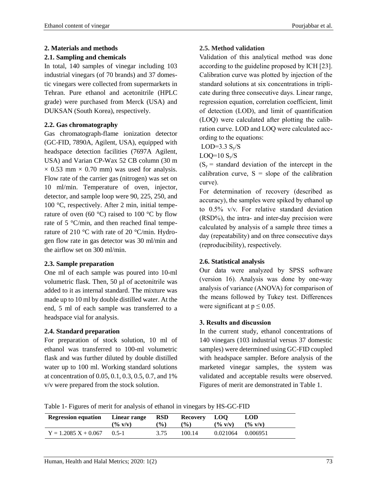# **2. Materials and methods**

### **2.1. Sampling and chemicals**

In total, 140 samples of vinegar including 103 industrial vinegars (of 70 brands) and 37 domestic vinegars were collected from supermarkets in Tehran. Pure ethanol and acetonitrile (HPLC grade) were purchased from Merck (USA) and DUKSAN (South Korea), respectively.

# **2.2. Gas chromatography**

Gas chromatograph-flame ionization detector (GC-FID, 7890A, Agilent, USA), equipped with headspace detection facilities (7697A Agilent, USA) and Varian CP-Wax 52 CB column (30 m  $\times$  0.53 mm  $\times$  0.70 mm) was used for analysis. Flow rate of the carrier gas (nitrogen) was set on 10 ml/min. Temperature of oven, injector, detector, and sample loop were 90, 225, 250, and 100 °C, respectively. After 2 min, initial temperature of oven (60  $^{\circ}$ C) raised to 100  $^{\circ}$ C by flow rate of 5 °C/min, and then reached final temperature of 210 °C with rate of 20 °C/min. Hydrogen flow rate in gas detector was 30 ml/min and the airflow set on 300 ml/min.

# **2.3. Sample preparation**

One ml of each sample was poured into 10-ml volumetric flask. Then, 50 μl of acetonitrile was added to it as internal standard. The mixture was made up to 10 ml by double distilled water. At the end, 5 ml of each sample was transferred to a headspace vial for analysis.

# **2.4. Standard preparation**

For preparation of stock solution, 10 ml of ethanol was transferred to 100-ml volumetric flask and was further diluted by double distilled water up to 100 ml. Working standard solutions at concentration of 0.05, 0.1, 0.3, 0.5, 0.7, and 1% v/v were prepared from the stock solution.

### **2.5. Method validation**

Validation of this analytical method was done according to the guideline proposed by ICH [23]. Calibration curve was plotted by injection of the standard solutions at six concentrations in triplicate during three consecutive days. Linear range, regression equation, correlation coefficient, limit of detection (LOD), and limit of quantification (LOQ) were calculated after plotting the calibration curve. LOD and LOQ were calculated according to the equations:

LOD= $3.3 S_v/S$ 

LOQ= $10 S_y/S$ 

 $(S_y =$  standard deviation of the intercept in the calibration curve,  $S = slope of the calibration$ curve).

For determination of recovery (described as accuracy), the samples were spiked by ethanol up to 0.5% v/v. For relative standard deviation (RSD%), the intra- and inter-day precision were calculated by analysis of a sample three times a day (repeatability) and on three consecutive days (reproducibility), respectively.

# **2.6. Statistical analysis**

Our data were analyzed by SPSS software (version 16). Analysis was done by one-way analysis of variance (ANOVA) for comparison of the means followed by Tukey test. Differences were significant at  $p \le 0.05$ .

# **3. Results and discussion**

In the current study, ethanol concentrations of 140 vinegars (103 industrial versus 37 domestic samples) were determined using GC-FID coupled with headspace sampler. Before analysis of the marketed vinegar samples, the system was validated and acceptable results were observed. Figures of merit are demonstrated in Table 1.

Table 1- Figures of merit for analysis of ethanol in vinegars by HS-GC-FID

| <b>Regression equation</b> | Linear range                | <b>RSD</b>    | Recovery      | <b>LOO</b>                  | LOD        |
|----------------------------|-----------------------------|---------------|---------------|-----------------------------|------------|
|                            | $(\frac{6}{9} \text{ V/v})$ | $\frac{1}{2}$ | $\frac{1}{2}$ | $(\frac{6}{9} \text{ V/v})$ | $($ % v/v) |
| $Y = 1.2085 X + 0.067$     | $()$ 5-1                    | 3.75          | 100.14        | 0.021064                    | 0.006951   |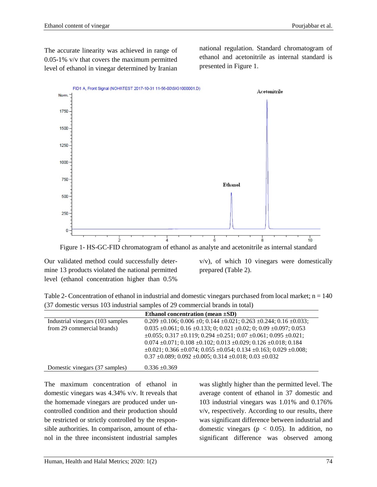The accurate linearity was achieved in range of 0.05-1% v/v that covers the maximum permitted level of ethanol in vinegar determined by Iranian national regulation. Standard chromatogram of ethanol and acetonitrile as internal standard is presented in Figure 1.



Our validated method could successfully determine 13 products violated the national permitted level (ethanol concentration higher than 0.5%

v/v), of which 10 vinegars were domestically prepared (Table 2).

Table 2- Concentration of ethanol in industrial and domestic vinegars purchased from local market;  $n = 140$ (37 domestic versus 103 industrial samples of 29 commercial brands in total)

|                                   | Ethanol concentration (mean $\pm SD$ )                                                           |
|-----------------------------------|--------------------------------------------------------------------------------------------------|
| Industrial vinegars (103 samples) | $0.209 \pm 0.106$ ; $0.006 \pm 0$ ; $0.144 \pm 0.021$ ; $0.263 \pm 0.244$ ; $0.16 \pm 0.033$ ;   |
| from 29 commercial brands)        | $0.035 \pm 0.061$ ; $0.16 \pm 0.133$ ; $0$ ; $0.021 \pm 0.02$ ; $0$ ; $0.09 \pm 0.097$ ; $0.053$ |
|                                   | $\pm 0.055$ ; 0.317 $\pm 0.119$ ; 0.294 $\pm 0.251$ ; 0.07 $\pm 0.061$ ; 0.095 $\pm 0.021$ ;     |
|                                   | $0.074 \pm 0.071$ ; $0.108 \pm 0.102$ ; $0.013 \pm 0.029$ ; $0.126 \pm 0.018$ ; $0.184$          |
|                                   | $\pm 0.021$ ; 0.366 $\pm 0.074$ ; 0.055 $\pm 0.054$ ; 0.134 $\pm 0.163$ ; 0.029 $\pm 0.008$ ;    |
|                                   | $0.37 \pm 0.089$ ; $0.092 \pm 0.005$ ; $0.314 \pm 0.018$ ; $0.03 \pm 0.032$                      |
| Domestic vinegars (37 samples)    | $0.336 \pm 0.369$                                                                                |

The maximum concentration of ethanol in domestic vinegars was 4.34% v/v. It reveals that the homemade vinegars are produced under uncontrolled condition and their production should be restricted or strictly controlled by the responsible authorities. In comparison, amount of ethanol in the three inconsistent industrial samples was slightly higher than the permitted level. The average content of ethanol in 37 domestic and 103 industrial vinegars was 1.01% and 0.176% v/v, respectively. According to our results, there was significant difference between industrial and domestic vinegars ( $p < 0.05$ ). In addition, no significant difference was observed among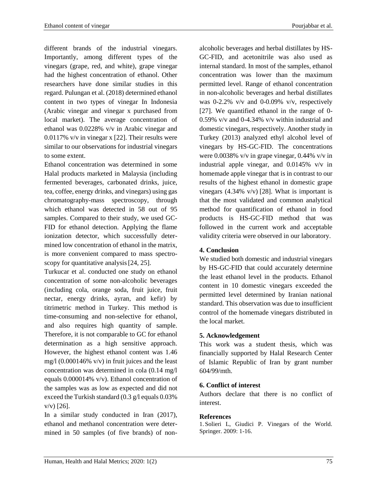to some extent.

different brands of the industrial vinegars. Importantly, among different types of the vinegars (grape, red, and white), grape vinegar had the highest concentration of ethanol. Other researchers have done similar studies in this regard. Pulungan et al. (2018) determined ethanol content in two types of vinegar In Indonesia (Arabic vinegar and vinegar x purchased from local market). The average concentration of ethanol was 0.0228% v/v in Arabic vinegar and 0.0117% v/v in vinegar x [22]. Their results were similar to our observations for industrial vinegars

Ethanol concentration was determined in some Halal products marketed in Malaysia (including fermented beverages, carbonated drinks, juice, tea, coffee, energy drinks, and vinegars) using gas chromatography-mass spectroscopy, through which ethanol was detected in 58 out of 95 samples. Compared to their study, we used GC-FID for ethanol detection. Applying the flame ionization detector, which successfully determined low concentration of ethanol in the matrix, is more convenient compared to mass spectroscopy for quantitative analysis [24, 25].

Turkucar et al. conducted one study on ethanol concentration of some non-alcoholic beverages (including cola, orange soda, fruit juice, fruit nectar, energy drinks, ayran, and kefir) by titrimetric method in Turkey. This method is time-consuming and non-selective for ethanol, and also requires high quantity of sample. Therefore, it is not comparable to GC for ethanol determination as a high sensitive approach. However, the highest ethanol content was 1.46 mg/l  $(0.000146\% \text{ v/v})$  in fruit juices and the least concentration was determined in cola (0.14 mg/l equals 0.000014% v/v). Ethanol concentration of the samples was as low as expected and did not exceed the Turkish standard (0.3 g/l equals 0.03% v/v) [26].

In a similar study conducted in Iran (2017), ethanol and methanol concentration were determined in 50 samples (of five brands) of non-

alcoholic beverages and herbal distillates by HS-GC-FID, and acetonitrile was also used as internal standard. In most of the samples, ethanol concentration was lower than the maximum permitted level. Range of ethanol concentration in non-alcoholic beverages and herbal distillates was 0-2.2% v/v and 0-0.09% v/v, respectively [27]. We quantified ethanol in the range of 0- 0.59% v/v and 0-4.34% v/v within industrial and domestic vinegars, respectively. Another study in Turkey (2013) analyzed ethyl alcohol level of vinegars by HS-GC-FID. The concentrations were 0.0038% v/v in grape vinegar, 0.44% v/v in industrial apple vinegar, and 0.0145% v/v in homemade apple vinegar that is in contrast to our results of the highest ethanol in domestic grape vinegars  $(4.34\% \text{ v/v})$  [28]. What is important is that the most validated and common analytical method for quantification of ethanol in food products is HS-GC-FID method that was followed in the current work and acceptable validity criteria were observed in our laboratory.

# **4. Conclusion**

We studied both domestic and industrial vinegars by HS-GC-FID that could accurately determine the least ethanol level in the products. Ethanol content in 10 domestic vinegars exceeded the permitted level determined by Iranian national standard. This observation was due to insufficient control of the homemade vinegars distributed in the local market.

### **5. Acknowledgement**

This work was a student thesis, which was financially supported by Halal Research Center of Islamic Republic of Iran by grant number 604/99/mth.

### **6. Conflict of interest**

Authors declare that there is no conflict of interest.

### **References**

1. Solieri L, Giudici P. Vinegars of the World. Springer. 2009: 1-16.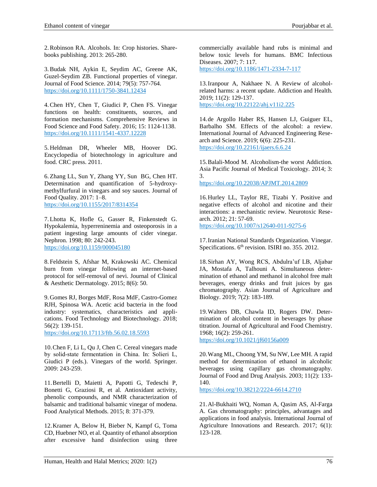2.Robinson RA. Alcohols. In: Crop histories. Sharebooks publishing. 2013: 265-280.

3.Budak NH, Aykin E, Seydim AC, Greene AK, Guzel-Seydim ZB. Functional properties of vinegar. Journal of Food Science. 2014; 79(5): 757-764. https://doi.org[/10.1111/1750-3841.12434](https://doi.org/10.1111/1750-3841.12434)

4.Chen HY, Chen T, Giudici P, Chen FS. Vinegar functions on health: constituents, sources, and formation mechanisms. Comprehensive Reviews in Food Science and Food Safety*.* 2016; 15: 1124-1138. <https://doi.org/10.1111/1541-4337.12228>

5. Heldman DR, Wheeler MB, Hoover DG. Encyclopedia of biotechnology in agriculture and food. CRC press. 2011.

6.Zhang LL, Sun Y, Zhang YY, Sun BG, Chen HT. Determination and quantification of 5-hydroxymethylfurfural in vinegars and soy sauces. Journal of Food Quality. 2017: 1–8. <https://doi.org/10.1155/2017/8314354>

7.Lhotta K, Hofle G, Gasser R, Finkenstedt G. Hypokalemia, hyperreninemia and osteoporosis in a patient ingesting large amounts of cider vinegar. Nephron. 1998; 80: 242-243. <https://doi.org/10.1159/000045180>

8. Feldstein S, Afshar M, Krakowski AC. Chemical burn from vinegar following an internet-based protocol for self-removal of nevi. Journal of Clinical & Aesthetic Dermatology. 2015; 8(6): 50.

9. Gomes RJ, Borges MdF, Rosa MdF, Castro-Gomez RJH, Spinosa WA. Acetic acid bacteria in the food industry: systematics, characteristics and applications. Food Technology and Biotechnology. 2018; 56(2): 139-151.

https://doi.org[/10.17113/ftb.56.02.18.5593](https://doi.org/10.17113/ftb.56.02.18.5593)

10.Chen F, Li L, Qu J, Chen C. Cereal vinegars made by solid‐state fermentation in China. In: Solieri L, Giudici P (eds.). Vinegars of the world. Springer. 2009: 243-259.

11.Bertelli D, Maietti A, Papotti G, Tedeschi P, Bonetti G, Graziosi R, et al. Antioxidant activity, phenolic compounds, and NMR characterization of balsamic and traditional balsamic vinegar of modena. Food Analytical Methods*.* 2015; 8: 371-379.

12.Kramer A, Below H, Bieber N, Kampf G, Toma CD, Huebner NO, et al. Quantity of ethanol absorption after excessive hand disinfection using three commercially available hand rubs is minimal and below toxic levels for humans. BMC Infectious Diseases. 2007; 7: 117. https://doi.org/10.1186/1471-2334-7-117

13[.Iranpour](https://www.ncbi.nlm.nih.gov/pubmed/?term=Iranpour%20A%5BAuthor%5D&cauthor=true&cauthor_uid=31321010) A, [Nakhaee](https://www.ncbi.nlm.nih.gov/pubmed/?term=Nakhaee%20N%5BAuthor%5D&cauthor=true&cauthor_uid=31321010) N. A Review of alcoholrelated harms: a recent update. [Addiction and](https://www.ncbi.nlm.nih.gov/pmc/articles/PMC6633071/) Health. 2019; 11(2): 129-137. https://doi.org[/10.22122/ahj.v11i2.225](https://dx.doi.org/10.22122%2Fahj.v11i2.225)

14.de Argollo Haber RS, Hansen LJ, Guiguer EL, Barbalho SM. Effects of the alcohol: a review. International Journal of Advanced Engineering Research and Science. 2019; 6(6): 225-231. https://doi.org[/10.22161/ijaers.6.6.24](https://dx.doi.org/10.22161/ijaers.6.6.24)

15.Balali-Mood M. Alcoholism-the worst Addiction. Asia Pacific Journal of Medical Toxicology. 2014; 3: 3. https://doi.org[/10.22038/APJMT.2014.2809](https://dx.doi.org/10.22038/apjmt.2014.2809)

16.Hurley LL, Taylor RE, Tizabi Y. Positive and negative effects of alcohol and nicotine and their interactions: a mechanistic review. Neurotoxic Research. 2012; 21: 57-69.

https://doi.org/10.1007/s12640-011-9275-6

17.Iranian National Standards Organization. Vinegar. Specifications. 6<sup>th</sup> revision. ISIRI no. 355. 2012.

18.Sirhan AY, Wong RCS, Abdulra'uf LB, Aljabar JA, Mostafa A, Talhouni A. Simultaneous determination of ethanol and methanol in alcohol free malt beverages, energy drinks and fruit juices by gas chromatography. Asian Journal of Agriculture and Biology. 2019; 7(2): 183-189.

19.Walters DB, Chawla ID, Rogers DW. Determination of alcohol content in beverages by phase titration. Journal of Agricultural and Food Chemistry. 1968; 16(2): 259-261.

<https://doi.org/10.1021/jf60156a009>

20.Wang ML, Choong YM, Su NW, Lee MH. A rapid method for determination of ethanol in alcoholic beverages using capillary gas chromatography. Journal of Food and Drug Analysis. 2003; 11(2): 133- 140.

https://doi.org/10.38212/2224-6614.2710

21.Al-Bukhaiti WQ, Noman A, Qasim AS, Al-Farga A. Gas chromatography: principles, advantages and applications in food analysis. International Journal of Agriculture Innovations and Research. 2017; 6(1): 123-128.